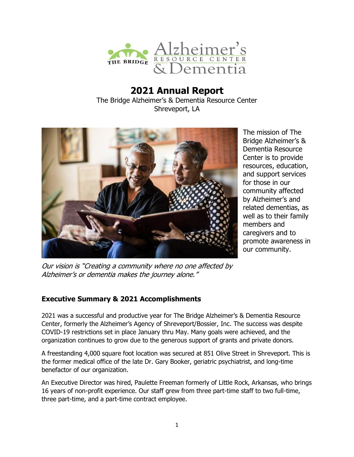

# **2021 Annual Report** The Bridge Alzheimer's & Dementia Resource Center Shreveport, LA



The mission of The Bridge Alzheimer's & Dementia Resource Center is to provide resources, education, and support services for those in our community affected by Alzheimer's and related dementias, as well as to their family members and caregivers and to promote awareness in our community.

Our vision is "Creating a community where no one affected by Alzheimer's or dementia makes the journey alone."

## **Executive Summary & 2021 Accomplishments**

2021 was a successful and productive year for The Bridge Alzheimer's & Dementia Resource Center, formerly the Alzheimer's Agency of Shreveport/Bossier, Inc. The success was despite COVID-19 restrictions set in place January thru May. Many goals were achieved, and the organization continues to grow due to the generous support of grants and private donors.

A freestanding 4,000 square foot location was secured at 851 Olive Street in Shreveport. This is the former medical office of the late Dr. Gary Booker, geriatric psychiatrist, and long-time benefactor of our organization.

An Executive Director was hired, Paulette Freeman formerly of Little Rock, Arkansas, who brings 16 years of non-profit experience. Our staff grew from three part-time staff to two full-time, three part-time, and a part-time contract employee.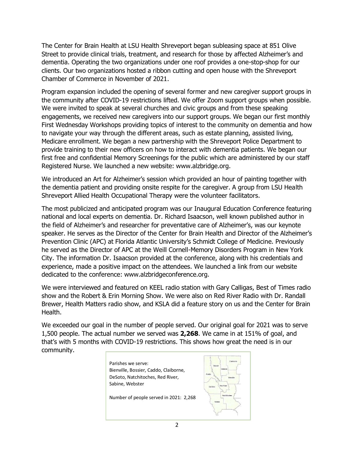The Center for Brain Health at LSU Health Shreveport began subleasing space at 851 Olive Street to provide clinical trials, treatment, and research for those by affected Alzheimer's and dementia. Operating the two organizations under one roof provides a one-stop-shop for our clients. Our two organizations hosted a ribbon cutting and open house with the Shreveport Chamber of Commerce in November of 2021.

Program expansion included the opening of several former and new caregiver support groups in the community after COVID-19 restrictions lifted. We offer Zoom support groups when possible. We were invited to speak at several churches and civic groups and from these speaking engagements, we received new caregivers into our support groups. We began our first monthly First Wednesday Workshops providing topics of interest to the community on dementia and how to navigate your way through the different areas, such as estate planning, assisted living, Medicare enrollment. We began a new partnership with the Shreveport Police Department to provide training to their new officers on how to interact with dementia patients. We began our first free and confidential Memory Screenings for the public which are administered by our staff Registered Nurse. We launched a new website: www.alzbridge.org.

We introduced an Art for Alzheimer's session which provided an hour of painting together with the dementia patient and providing onsite respite for the caregiver. A group from LSU Health Shreveport Allied Health Occupational Therapy were the volunteer facilitators.

The most publicized and anticipated program was our Inaugural Education Conference featuring national and local experts on dementia. Dr. Richard Isaacson, well known published author in the field of Alzheimer's and researcher for preventative care of Alzheimer's, was our keynote speaker. He serves as the Director of the Center for Brain Health and Director of the Alzheimer's Prevention Clinic (APC) at Florida Atlantic University's Schmidt College of Medicine. Previously he served as the Director of APC at the Weill Cornell-Memory Disorders Program in New York City. The information Dr. Isaacson provided at the conference, along with his credentials and experience, made a positive impact on the attendees. We launched a link from our website dedicated to the conference: www.alzbridgeconference.org.

We were interviewed and featured on KEEL radio station with Gary Calligas, Best of Times radio show and the Robert & Erin Morning Show. We were also on Red River Radio with Dr. Randall Brewer, Health Matters radio show, and KSLA did a feature story on us and the Center for Brain Health.

We exceeded our goal in the number of people served. Our original goal for 2021 was to serve 1,500 people. The actual number we served was **2,268**. We came in at 151% of goal, and that's with 5 months with COVID-19 restrictions. This shows how great the need is in our community.

> Parishes we serve: Bienville, Bossier, Caddo, Claiborne, DeSoto, Natchitoches, Red River, Sabine, Webster



Number of people served in 2021: 2,268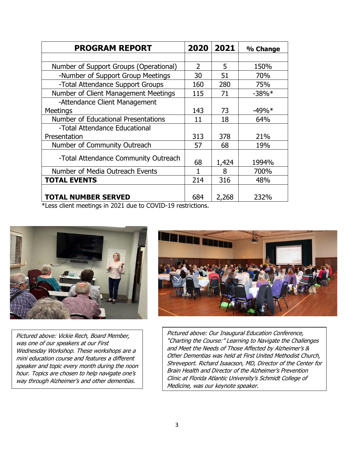| <b>PROGRAM REPORT</b>                  | 2020                     | 2021  | % Change |
|----------------------------------------|--------------------------|-------|----------|
|                                        |                          |       |          |
| Number of Support Groups (Operational) | $\overline{\phantom{a}}$ | 5     | 150%     |
| -Number of Support Group Meetings      | 30                       | 51    | 70%      |
| -Total Attendance Support Groups       | 160                      | 280   | 75%      |
| Number of Client Management Meetings   | 115                      | 71    | $-38%$   |
| -Attendance Client Management          |                          |       |          |
| <b>Meetings</b>                        | 143                      | 73    | $-49\%*$ |
| Number of Educational Presentations    | 11                       | 18    | 64%      |
| -Total Attendance Educational          |                          |       |          |
| Presentation                           | 313                      | 378   | 21%      |
| Number of Community Outreach           | 57                       | 68    | 19%      |
| -Total Attendance Community Outreach   | 68                       | 1,424 | 1994%    |
| Number of Media Outreach Events        | 1                        | 8     | 700%     |
| <b>TOTAL EVENTS</b>                    | 214                      | 316   | 48%      |
| <b>TOTAL NUMBER SERVED</b>             | 684                      | 2,268 | 232%     |

\*Less client meetings in 2021 due to COVID-19 restrictions.



Pictured above: Vickie Rech, Board Member, was one of our speakers at our First Wednesday Workshop. These workshops are a mini education course and features a different speaker and topic every month during the noon hour. Topics are chosen to help navigate one's way through Alzheimer's and other dementias.



Pictured above: Our Inaugural Education Conference, "Charting the Course:" Learning to Navigate the Challenges and Meet the Needs of Those Affected by Alzheimer's & Other Dementias was held at First United Methodist Church, Shreveport. Richard Isaacson, MD, Director of the Center for Brain Health and Director of the Alzheimer's Prevention Clinic at Florida Atlantic University's Schmidt College of Medicine, was our keynote speaker.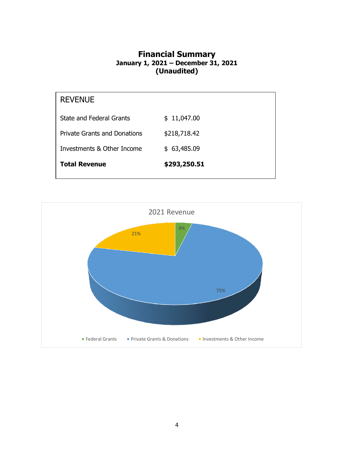# **Financial Summary January 1, 2021 – December 31, 2021 (Unaudited)**

| <b>REVENUE</b>                      |              |
|-------------------------------------|--------------|
| <b>State and Federal Grants</b>     | \$11,047.00  |
| <b>Private Grants and Donations</b> | \$218,718.42 |
| Investments & Other Income          | \$63,485.09  |
| <b>Total Revenue</b>                | \$293,250.51 |
|                                     |              |

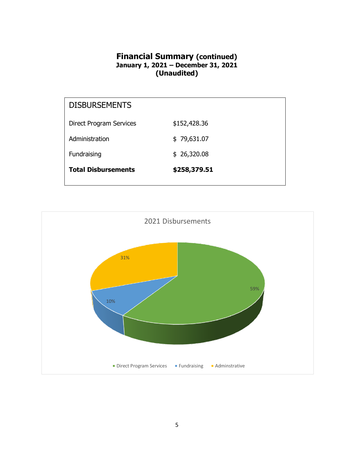# **Financial Summary (continued) January 1, 2021 – December 31, 2021 (Unaudited)**

| <b>Direct Program Services</b> | \$152,428.36               |  |
|--------------------------------|----------------------------|--|
| Administration<br>Fundraising  | \$79,631.07<br>\$26,320.08 |  |
| <b>Total Disbursements</b>     | \$258,379.51               |  |
|                                |                            |  |

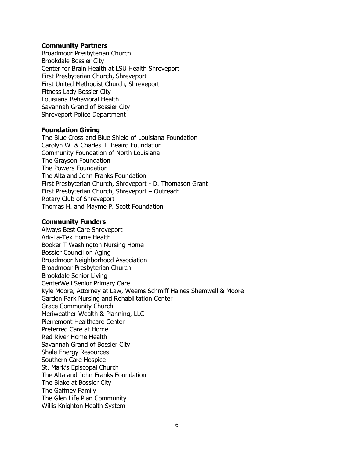#### **Community Partners**

Broadmoor Presbyterian Church Brookdale Bossier City Center for Brain Health at LSU Health Shreveport First Presbyterian Church, Shreveport First United Methodist Church, Shreveport Fitness Lady Bossier City Louisiana Behavioral Health Savannah Grand of Bossier City Shreveport Police Department

### **Foundation Giving**

The Blue Cross and Blue Shield of Louisiana Foundation Carolyn W. & Charles T. Beaird Foundation Community Foundation of North Louisiana The Grayson Foundation The Powers Foundation The Alta and John Franks Foundation First Presbyterian Church, Shreveport - D. Thomason Grant First Presbyterian Church, Shreveport – Outreach Rotary Club of Shreveport Thomas H. and Mayme P. Scott Foundation

### **Community Funders**

Always Best Care Shreveport Ark-La-Tex Home Health Booker T Washington Nursing Home Bossier Council on Aging Broadmoor Neighborhood Association Broadmoor Presbyterian Church Brookdale Senior Living CenterWell Senior Primary Care Kyle Moore, Attorney at Law, Weems Schmiff Haines Shemwell & Moore Garden Park Nursing and Rehabilitation Center Grace Community Church Meriweather Wealth & Planning, LLC Pierremont Healthcare Center Preferred Care at Home Red River Home Health Savannah Grand of Bossier City Shale Energy Resources Southern Care Hospice St. Mark's Episcopal Church The Alta and John Franks Foundation The Blake at Bossier City The Gaffney Family The Glen Life Plan Community Willis Knighton Health System